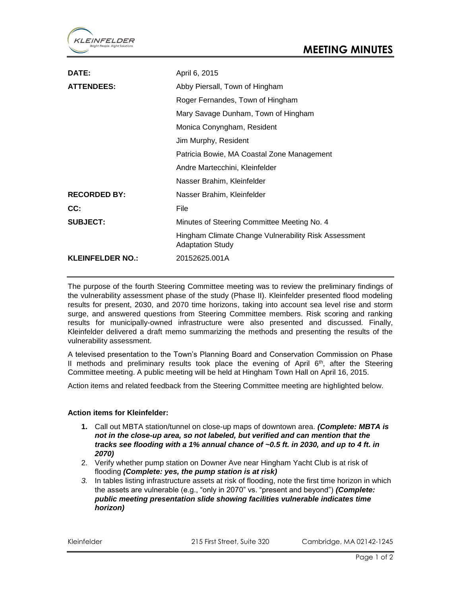

| DATE:                   | April 6, 2015                                                                   |
|-------------------------|---------------------------------------------------------------------------------|
| <b>ATTENDEES:</b>       | Abby Piersall, Town of Hingham                                                  |
|                         | Roger Fernandes, Town of Hingham                                                |
|                         | Mary Savage Dunham, Town of Hingham                                             |
|                         | Monica Conyngham, Resident                                                      |
|                         | Jim Murphy, Resident                                                            |
|                         | Patricia Bowie, MA Coastal Zone Management                                      |
|                         | Andre Martecchini, Kleinfelder                                                  |
|                         | Nasser Brahim, Kleinfelder                                                      |
| <b>RECORDED BY:</b>     | Nasser Brahim, Kleinfelder                                                      |
| CC:                     | File                                                                            |
| <b>SUBJECT:</b>         | Minutes of Steering Committee Meeting No. 4                                     |
|                         | Hingham Climate Change Vulnerability Risk Assessment<br><b>Adaptation Study</b> |
| <b>KLEINFELDER NO.:</b> | 20152625.001A                                                                   |

The purpose of the fourth Steering Committee meeting was to review the preliminary findings of the vulnerability assessment phase of the study (Phase II). Kleinfelder presented flood modeling results for present, 2030, and 2070 time horizons, taking into account sea level rise and storm surge, and answered questions from Steering Committee members. Risk scoring and ranking results for municipally-owned infrastructure were also presented and discussed. Finally, Kleinfelder delivered a draft memo summarizing the methods and presenting the results of the vulnerability assessment.

A televised presentation to the Town's Planning Board and Conservation Commission on Phase II methods and preliminary results took place the evening of April  $6<sup>th</sup>$ , after the Steering Committee meeting. A public meeting will be held at Hingham Town Hall on April 16, 2015.

Action items and related feedback from the Steering Committee meeting are highlighted below.

## **Action items for Kleinfelder:**

- **1.** Call out MBTA station/tunnel on close-up maps of downtown area. *(Complete: MBTA is not in the close-up area, so not labeled, but verified and can mention that the tracks see flooding with a 1% annual chance of ~0.5 ft. in 2030, and up to 4 ft. in 2070)*
- 2. Verify whether pump station on Downer Ave near Hingham Yacht Club is at risk of flooding *(Complete: yes, the pump station is at risk)*
- *3.* In tables listing infrastructure assets at risk of flooding, note the first time horizon in which the assets are vulnerable (e.g., "only in 2070" vs. "present and beyond") *(Complete: public meeting presentation slide showing facilities vulnerable indicates time horizon)*

Kleinfelder 215 First Street, Suite 320 Cambridge, MA 02142-1245